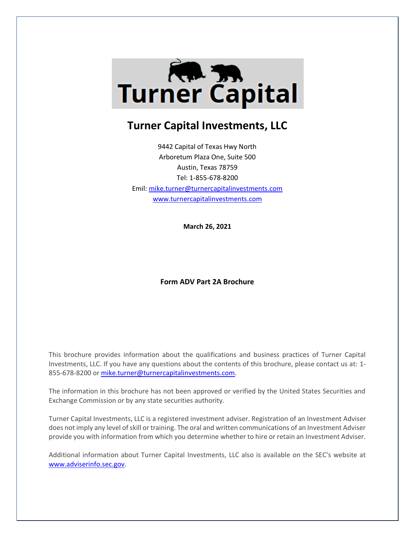

# **Turner Capital Investments, LLC**

9442 Capital of Texas Hwy North Arboretum Plaza One, Suite 500 Austin, Texas 78759 Tel: 1-855-678-8200 Emil[: mike.turner@turnercapitalinvestments.com](mailto:mike.turner@turnercapitalinvestments.com) [www.turnercapitalinvestments.com](http://www.turnercapitalinvestments.com/)

**March 26, 2021**

## **Form ADV Part 2A Brochure**

This brochure provides information about the qualifications and business practices of Turner Capital Investments, LLC. If you have any questions about the contents of this brochure, please contact us at: 1 855-678-8200 or [mike.turner@turnercapitalinvestments.com.](mailto:mike.turner@turnercapitalinvestments.com)

The information in this brochure has not been approved or verified by the United States Securities and Exchange Commission or by any state securities authority.

Turner Capital Investments, LLC is a registered investment adviser. Registration of an Investment Adviser does not imply any level of skill or training. The oral and written communications of an Investment Adviser provide you with information from which you determine whether to hire or retain an Investment Adviser.

Additional information about Turner Capital Investments, LLC also is available on the SEC's website at [www.adviserinfo.sec.gov.](http://www.adviserinfo.sec.gov/)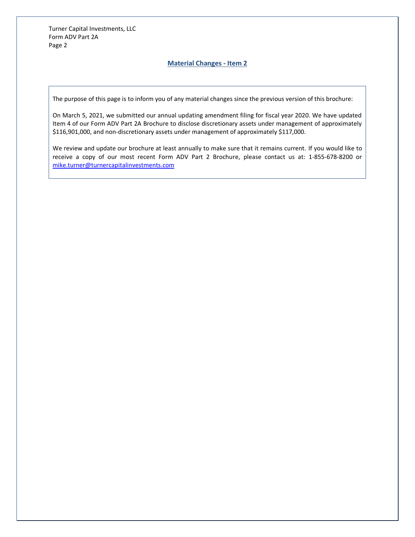## **Material Changes - Item 2**

The purpose of this page is to inform you of any material changes since the previous version of this brochure:

On March 5, 2021, we submitted our annual updating amendment filing for fiscal year 2020. We have updated Item 4 of our Form ADV Part 2A Brochure to disclose discretionary assets under management of approximately \$116,901,000, and non-discretionary assets under management of approximately \$117,000.

We review and update our brochure at least annually to make sure that it remains current. If you would like to receive a copy of our most recent Form ADV Part 2 Brochure, please contact us at: 1-855-678-8200 or [mike.turner@turnercapitalinvestments.com](mailto:mike.turner@turnercapitalinvestments.com)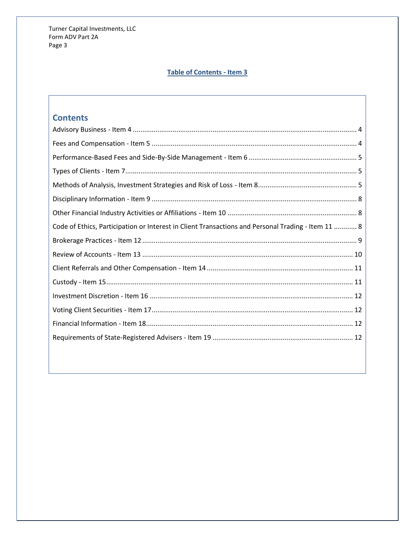# **Table of Contents - Item 3**

# **Contents**

| Code of Ethics, Participation or Interest in Client Transactions and Personal Trading - Item 11  8 |
|----------------------------------------------------------------------------------------------------|
|                                                                                                    |
|                                                                                                    |
|                                                                                                    |
|                                                                                                    |
|                                                                                                    |
|                                                                                                    |
|                                                                                                    |
|                                                                                                    |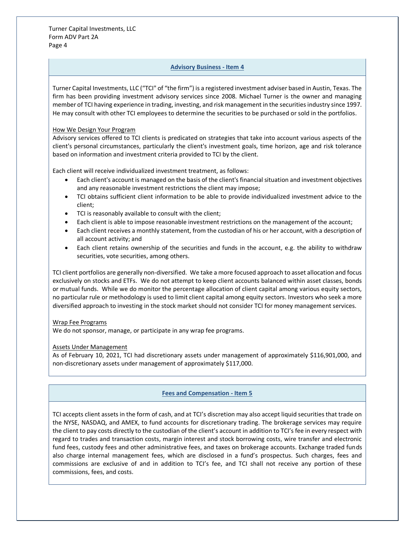#### **Advisory Business - Item 4**

<span id="page-3-0"></span>Turner Capital Investments, LLC ("TCI" of "the firm") is a registered investment adviser based in Austin, Texas. The firm has been providing investment advisory services since 2008. Michael Turner is the owner and managing member of TCI having experience in trading, investing, and risk management in the securities industry since 1997. He may consult with other TCI employees to determine the securities to be purchased or sold in the portfolios.

#### How We Design Your Program

Advisory services offered to TCI clients is predicated on strategies that take into account various aspects of the client's personal circumstances, particularly the client's investment goals, time horizon, age and risk tolerance based on information and investment criteria provided to TCI by the client.

Each client will receive individualized investment treatment, as follows:

- Each client's account is managed on the basis of the client's financial situation and investment objectives and any reasonable investment restrictions the client may impose;
- TCI obtains sufficient client information to be able to provide individualized investment advice to the client;
- TCI is reasonably available to consult with the client;
- Each client is able to impose reasonable investment restrictions on the management of the account;
- Each client receives a monthly statement, from the custodian of his or her account, with a description of all account activity; and
- Each client retains ownership of the securities and funds in the account, e.g. the ability to withdraw securities, vote securities, among others.

TCI client portfolios are generally non-diversified. We take a more focused approach to asset allocation and focus exclusively on stocks and ETFs. We do not attempt to keep client accounts balanced within asset classes, bonds or mutual funds. While we do monitor the percentage allocation of client capital among various equity sectors, no particular rule or methodology is used to limit client capital among equity sectors. Investors who seek a more diversified approach to investing in the stock market should not consider TCI for money management services.

## Wrap Fee Programs

We do not sponsor, manage, or participate in any wrap fee programs.

## Assets Under Management

As of February 10, 2021, TCI had discretionary assets under management of approximately \$116,901,000, and non-discretionary assets under management of approximately \$117,000.

## **Fees and Compensation - Item 5**

<span id="page-3-1"></span>TCI accepts client assets in the form of cash, and at TCI's discretion may also accept liquid securities that trade on the NYSE, NASDAQ, and AMEX, to fund accounts for discretionary trading. The brokerage services may require the client to pay costs directly to the custodian of the client's account in addition to TCI's fee in every respect with regard to trades and transaction costs, margin interest and stock borrowing costs, wire transfer and electronic fund fees, custody fees and other administrative fees, and taxes on brokerage accounts. Exchange traded funds also charge internal management fees, which are disclosed in a fund's prospectus. Such charges, fees and commissions are exclusive of and in addition to TCI's fee, and TCI shall not receive any portion of these commissions, fees, and costs.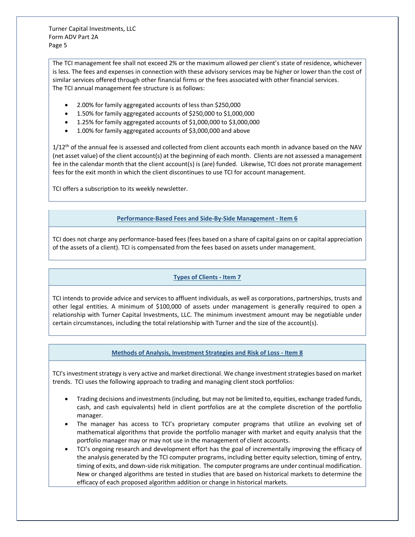The TCI management fee shall not exceed 2% or the maximum allowed per client's state of residence, whichever is less. The fees and expenses in connection with these advisory services may be higher or lower than the cost of similar services offered through other financial firms or the fees associated with other financial services. The TCI annual management fee structure is as follows:

- 2.00% for family aggregated accounts of less than \$250,000
- 1.50% for family aggregated accounts of \$250,000 to \$1,000,000
- 1.25% for family aggregated accounts of \$1,000,000 to \$3,000,000
- 1.00% for family aggregated accounts of \$3,000,000 and above

 $1/12$ <sup>th</sup> of the annual fee is assessed and collected from client accounts each month in advance based on the NAV (net asset value) of the client account(s) at the beginning of each month. Clients are not assessed a management fee in the calendar month that the client account(s) is (are) funded. Likewise, TCI does not prorate management fees for the exit month in which the client discontinues to use TCI for account management.

<span id="page-4-0"></span>TCI offers a subscription to its weekly newsletter.

## **Performance-Based Fees and Side-By-Side Management - Item 6**

TCI does not charge any performance-based fees (fees based on a share of capital gains on or capital appreciation of the assets of a client). TCI is compensated from the fees based on assets under management.

## **Types of Clients - Item 7**

<span id="page-4-1"></span>TCI intends to provide advice and services to affluent individuals, as well as corporations, partnerships, trusts and other legal entities. A minimum of \$100,000 of assets under management is generally required to open a relationship with Turner Capital Investments, LLC. The minimum investment amount may be negotiable under certain circumstances, including the total relationship with Turner and the size of the account(s).

## **Methods of Analysis, Investment Strategies and Risk of Loss - Item 8**

<span id="page-4-2"></span>TCI's investment strategy is very active and market directional. We change investment strategies based on market trends. TCI uses the following approach to trading and managing client stock portfolios:

- Trading decisions and investments (including, but may not be limited to, equities, exchange traded funds, cash, and cash equivalents) held in client portfolios are at the complete discretion of the portfolio manager.
- The manager has access to TCI's proprietary computer programs that utilize an evolving set of mathematical algorithms that provide the portfolio manager with market and equity analysis that the portfolio manager may or may not use in the management of client accounts.
- TCI's ongoing research and development effort has the goal of incrementally improving the efficacy of the analysis generated by the TCI computer programs, including better equity selection, timing of entry, timing of exits, and down-side risk mitigation. The computer programs are under continual modification. New or changed algorithms are tested in studies that are based on historical markets to determine the efficacy of each proposed algorithm addition or change in historical markets.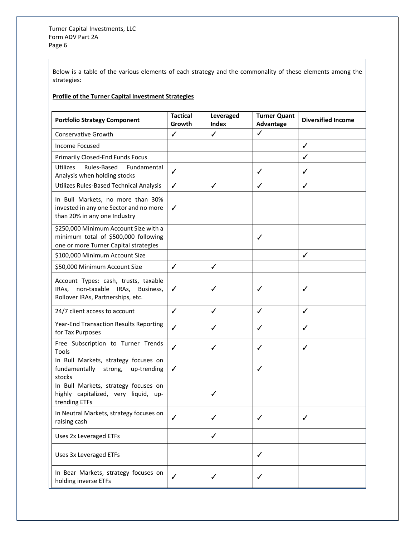Below is a table of the various elements of each strategy and the commonality of these elements among the strategies:

## **Profile of the Turner Capital Investment Strategies**

| <b>Portfolio Strategy Component</b>                                                                                    | <b>Tactical</b><br>Growth | Leveraged<br>Index | <b>Turner Quant</b><br>Advantage | <b>Diversified Income</b> |
|------------------------------------------------------------------------------------------------------------------------|---------------------------|--------------------|----------------------------------|---------------------------|
| Conservative Growth                                                                                                    | $\checkmark$              | $\checkmark$       | $\checkmark$                     |                           |
| Income Focused                                                                                                         |                           |                    |                                  | ✓                         |
| <b>Primarily Closed-End Funds Focus</b>                                                                                |                           |                    |                                  | ✓                         |
| <b>Utilizes</b><br>Rules-Based<br>Fundamental<br>Analysis when holding stocks                                          | ✓                         |                    | ✓                                | ✓                         |
| Utilizes Rules-Based Technical Analysis                                                                                | $\checkmark$              | ✓                  | ✓                                | ✓                         |
| In Bull Markets, no more than 30%<br>invested in any one Sector and no more<br>than 20% in any one Industry            | ✓                         |                    |                                  |                           |
| \$250,000 Minimum Account Size with a<br>minimum total of \$500,000 following<br>one or more Turner Capital strategies |                           |                    | ✓                                |                           |
| \$100,000 Minimum Account Size                                                                                         |                           |                    |                                  | ✓                         |
| \$50,000 Minimum Account Size                                                                                          | ✓                         | ✓                  |                                  |                           |
| Account Types: cash, trusts, taxable<br>non-taxable IRAs, Business,<br>IRAs,<br>Rollover IRAs, Partnerships, etc.      | ✓                         |                    |                                  | ✓                         |
| 24/7 client access to account                                                                                          | ✓                         | ✓                  | ✓                                | ✓                         |
| Year-End Transaction Results Reporting<br>for Tax Purposes                                                             | ✓                         | ✓                  |                                  | ✓                         |
| Free Subscription to Turner Trends<br>Tools                                                                            | ✓                         | ✓                  | ✓                                | ✓                         |
| In Bull Markets, strategy focuses on<br>fundamentally strong, up-trending<br>stocks                                    | $\checkmark$              |                    | ✓                                |                           |
| In Bull Markets, strategy focuses on<br>highly capitalized, very liquid, up-<br>trending ETFs                          |                           |                    |                                  |                           |
| In Neutral Markets, strategy focuses on<br>raising cash                                                                | ✓                         | ✓                  |                                  | ✓                         |
| Uses 2x Leveraged ETFs                                                                                                 |                           | ✓                  |                                  |                           |
| Uses 3x Leveraged ETFs                                                                                                 |                           |                    | ✓                                |                           |
| In Bear Markets, strategy focuses on<br>holding inverse ETFs                                                           | ✓                         | ✓                  |                                  |                           |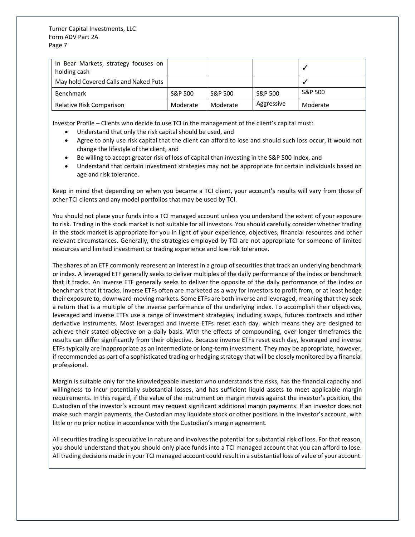| In Bear Markets, strategy focuses on<br>holding cash |          |          |            |          |
|------------------------------------------------------|----------|----------|------------|----------|
| May hold Covered Calls and Naked Puts                |          |          |            |          |
| <b>Benchmark</b>                                     | S&P 500  | S&P 500  | S&P 500    | S&P 500  |
| Relative Risk Comparison                             | Moderate | Moderate | Aggressive | Moderate |

Investor Profile – Clients who decide to use TCI in the management of the client's capital must:

- Understand that only the risk capital should be used, and
- Agree to only use risk capital that the client can afford to lose and should such loss occur, it would not change the lifestyle of the client, and
- Be willing to accept greater risk of loss of capital than investing in the S&P 500 Index, and
- Understand that certain investment strategies may not be appropriate for certain individuals based on age and risk tolerance.

Keep in mind that depending on when you became a TCI client, your account's results will vary from those of other TCI clients and any model portfolios that may be used by TCI.

You should not place your funds into a TCI managed account unless you understand the extent of your exposure to risk. Trading in the stock market is not suitable for all investors. You should carefully consider whether trading in the stock market is appropriate for you in light of your experience, objectives, financial resources and other relevant circumstances. Generally, the strategies employed by TCI are not appropriate for someone of limited resources and limited investment or trading experience and low risk tolerance.

The shares of an ETF commonly represent an interest in a group of securities that track an underlying benchmark or index. A leveraged ETF generally seeks to deliver multiples of the daily performance of the index or benchmark that it tracks. An inverse ETF generally seeks to deliver the opposite of the daily performance of the index or benchmark that it tracks. Inverse ETFs often are marketed as a way for investors to profit from, or at least hedge their exposure to, downward-moving markets. Some ETFs are both inverse and leveraged, meaning that they seek a return that is a multiple of the inverse performance of the underlying index. To accomplish their objectives, leveraged and inverse ETFs use a range of investment strategies, including swaps, futures contracts and other derivative instruments. Most leveraged and inverse ETFs reset each day, which means they are designed to achieve their stated objective on a daily basis. With the effects of compounding, over longer timeframes the results can differ significantly from their objective. Because inverse ETFs reset each day, leveraged and inverse ETFs typically are inappropriate as an intermediate or long-term investment. They may be appropriate, however, if recommended as part of a sophisticated trading or hedging strategy that will be closely monitored by a financial professional.

Margin is suitable only for the knowledgeable investor who understands the risks, has the financial capacity and willingness to incur potentially substantial losses, and has sufficient liquid assets to meet applicable margin requirements. In this regard, if the value of the instrument on margin moves against the investor's position, the Custodian of the investor's account may request significant additional margin payments. If an investor does not make such margin payments, the Custodian may liquidate stock or other positions in the investor's account, with little or no prior notice in accordance with the Custodian's margin agreement.

All securities trading is speculative in nature and involves the potential for substantial risk of loss. For that reason, you should understand that you should only place funds into a TCI managed account that you can afford to lose. All trading decisions made in your TCI managed account could result in a substantial loss of value of your account.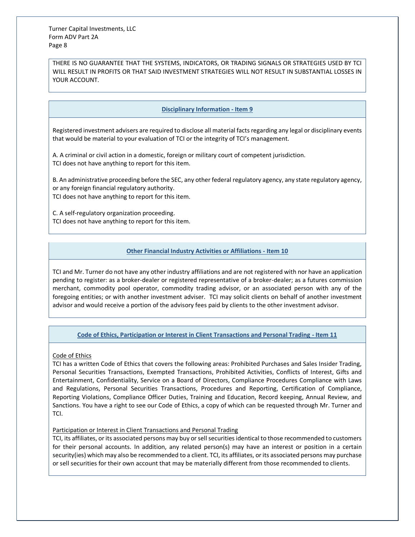THERE IS NO GUARANTEE THAT THE SYSTEMS, INDICATORS, OR TRADING SIGNALS OR STRATEGIES USED BY TCI WILL RESULT IN PROFITS OR THAT SAID INVESTMENT STRATEGIES WILL NOT RESULT IN SUBSTANTIAL LOSSES IN YOUR ACCOUNT.

## **Disciplinary Information - Item 9**

<span id="page-7-0"></span>Registered investment advisers are required to disclose all material facts regarding any legal or disciplinary events that would be material to your evaluation of TCI or the integrity of TCI's management.

A. A criminal or civil action in a domestic, foreign or military court of competent jurisdiction. TCI does not have anything to report for this item.

B. An administrative proceeding before the SEC, any other federal regulatory agency, any state regulatory agency, or any foreign financial regulatory authority. TCI does not have anything to report for this item.

C. A self-regulatory organization proceeding. TCI does not have anything to report for this item.

## **Other Financial Industry Activities or Affiliations - Item 10**

<span id="page-7-1"></span>TCI and Mr. Turner do not have any other industry affiliations and are not registered with nor have an application pending to register: as a broker-dealer or registered representative of a broker-dealer; as a futures commission merchant, commodity pool operator, commodity trading advisor, or an associated person with any of the foregoing entities; or with another investment adviser. TCI may solicit clients on behalf of another investment advisor and would receive a portion of the advisory fees paid by clients to the other investment advisor.

## **Code of Ethics, Participation or Interest in Client Transactions and Personal Trading - Item 11**

#### <span id="page-7-2"></span>Code of Ethics

TCI has a written Code of Ethics that covers the following areas: Prohibited Purchases and Sales Insider Trading, Personal Securities Transactions, Exempted Transactions, Prohibited Activities, Conflicts of Interest, Gifts and Entertainment, Confidentiality, Service on a Board of Directors, Compliance Procedures Compliance with Laws and Regulations, Personal Securities Transactions, Procedures and Reporting, Certification of Compliance, Reporting Violations, Compliance Officer Duties, Training and Education, Record keeping, Annual Review, and Sanctions. You have a right to see our Code of Ethics, a copy of which can be requested through Mr. Turner and TCI.

#### Participation or Interest in Client Transactions and Personal Trading

TCI, its affiliates, or its associated persons may buy or sell securities identical to those recommended to customers for their personal accounts. In addition, any related person(s) may have an interest or position in a certain security(ies) which may also be recommended to a client. TCI, its affiliates, or its associated persons may purchase or sell securities for their own account that may be materially different from those recommended to clients.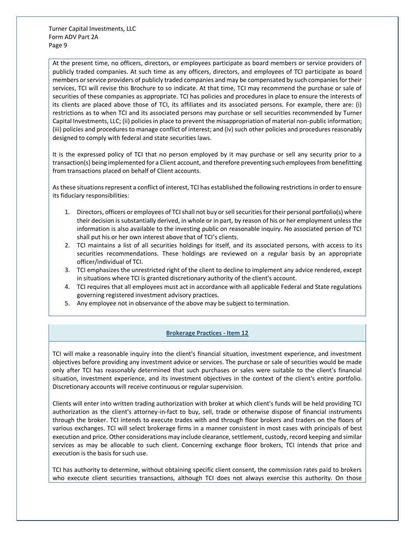At the present time, no officers, directors, or employees participate as board members or service providers of publicly traded companies. At such time as any officers, directors, and employees of TCI participate as board members or service providers of publicly traded companies and may be compensated by such companies for their services, TCI will revise this Brochure to so indicate. At that time, TCI may recommend the purchase or sale of securities of these companies as appropriate. TCI has policies and procedures in place to ensure the interests of its clients are placed above those of TCI, its affiliates and its associated persons. For example, there are: (i) restrictions as to when TCI and its associated persons may purchase or sell securities recommended by Turner Capital Investments, LLC; (ii) policies in place to prevent the misappropriation of material non-public information; (iii) policies and procedures to manage conflict of interest; and (iv) such other policies and procedures reasonably designed to comply with federal and state securities laws.

It is the expressed policy of TCI that no person employed by it may purchase or sell any security prior to a transaction(s) being implemented for a Client account, and therefore preventing such employees from benefitting from transactions placed on behalf of Client accounts.

As these situations represent a conflict of interest, TCI has established the following restrictions in order to ensure its fiduciary responsibilities:

- 1. Directors, officers or employees of TCI shall not buy or sell securities for their personal portfolio(s) where their decision is substantially derived, in whole or in part, by reason of his or her employment unless the information is also available to the investing public on reasonable inquiry. No associated person of TCI shall put his or her own interest above that of TCI's clients.
- 2. TCI maintains a list of all securities holdings for itself, and its associated persons, with access to its securities recommendations. These holdings are reviewed on a regular basis by an appropriate officer/individual of TCI.
- 3. TCI emphasizes the unrestricted right of the client to decline to implement any advice rendered, except in situations where TCI is granted discretionary authority of the client's account.
- 4. TCI requires that all employees must act in accordance with all applicable Federal and State regulations governing registered investment advisory practices.
- 5. Any employee not in observance of the above may be subject to termination.

## **Brokerage Practices - Item 12**

<span id="page-8-0"></span>TCI will make a reasonable inquiry into the client's financial situation, investment experience, and investment objectives before providing any investment advice or services. The purchase or sale of securities would be made only after TCI has reasonably determined that such purchases or sales were suitable to the client's financial situation, investment experience, and its investment objectives in the context of the client's entire portfolio. Discretionary accounts will receive continuous or regular supervision.

Clients will enter into written trading authorization with broker at which client's funds will be held providing TCI authorization as the client's attorney-in-fact to buy, sell, trade or otherwise dispose of financial instruments through the broker. TCI intends to execute trades with and through floor brokers and traders on the floors of various exchanges. TCI will select brokerage firms in a manner consistent in most cases with principals of best execution and price. Other considerations may include clearance, settlement, custody, record keeping and similar services as may be allocable to such client. Concerning exchange floor brokers, TCI intends that price and execution is the basis for such use.

TCI has authority to determine, without obtaining specific client consent, the commission rates paid to brokers who execute client securities transactions, although TCI does not always exercise this authority. On those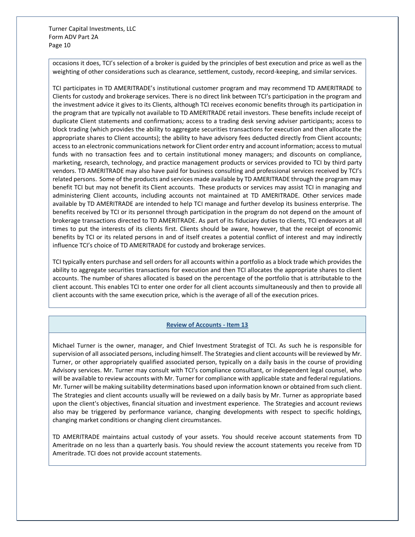occasions it does, TCI's selection of a broker is guided by the principles of best execution and price as well as the weighting of other considerations such as clearance, settlement, custody, record-keeping, and similar services.

TCI participates in TD AMERITRADE's institutional customer program and may recommend TD AMERITRADE to Clients for custody and brokerage services. There is no direct link between TCI's participation in the program and the investment advice it gives to its Clients, although TCI receives economic benefits through its participation in the program that are typically not available to TD AMERITRADE retail investors. These benefits include receipt of duplicate Client statements and confirmations*;* access to a trading desk serving adviser participants; access to block trading (which provides the ability to aggregate securities transactions for execution and then allocate the appropriate shares to Client accounts); the ability to have advisory fees deducted directly from Client accounts; access to an electronic communications network for Client order entry and account information; access to mutual funds with no transaction fees and to certain institutional money managers; and discounts on compliance, marketing, research, technology, and practice management products or services provided to TCI by third party vendors. TD AMERITRADE may also have paid for business consulting and professional services received by TCI's related persons. Some of the products and services made available by TD AMERITRADE through the program may benefit TCI but may not benefit its Client accounts. These products or services may assist TCI in managing and administering Client accounts, including accounts not maintained at TD AMERITRADE. Other services made available by TD AMERITRADE are intended to help TCI manage and further develop its business enterprise. The benefits received by TCI or its personnel through participation in the program do not depend on the amount of brokerage transactions directed to TD AMERITRADE. As part of its fiduciary duties to clients, TCI endeavors at all times to put the interests of its clients first. Clients should be aware, however, that the receipt of economic benefits by TCI or its related persons in and of itself creates a potential conflict of interest and may indirectly influence TCI's choice of TD AMERITRADE for custody and brokerage services.

TCI typically enters purchase and sell orders for all accounts within a portfolio as a block trade which provides the ability to aggregate securities transactions for execution and then TCI allocates the appropriate shares to client accounts. The number of shares allocated is based on the percentage of the portfolio that is attributable to the client account. This enables TCI to enter one order for all client accounts simultaneously and then to provide all client accounts with the same execution price, which is the average of all of the execution prices.

#### **Review of Accounts - Item 13**

<span id="page-9-0"></span>Michael Turner is the owner, manager, and Chief Investment Strategist of TCI. As such he is responsible for supervision of all associated persons, including himself. The Strategies and client accounts will be reviewed by Mr. Turner, or other appropriately qualified associated person, typically on a daily basis in the course of providing Advisory services. Mr. Turner may consult with TCI's compliance consultant, or independent legal counsel, who will be available to review accounts with Mr. Turner for compliance with applicable state and federal regulations. Mr. Turner will be making suitability determinations based upon information known or obtained from such client. The Strategies and client accounts usually will be reviewed on a daily basis by Mr. Turner as appropriate based upon the client's objectives, financial situation and investment experience. The Strategies and account reviews also may be triggered by performance variance, changing developments with respect to specific holdings, changing market conditions or changing client circumstances.

TD AMERITRADE maintains actual custody of your assets. You should receive account statements from TD Ameritrade on no less than a quarterly basis. You should review the account statements you receive from TD Ameritrade. TCI does not provide account statements.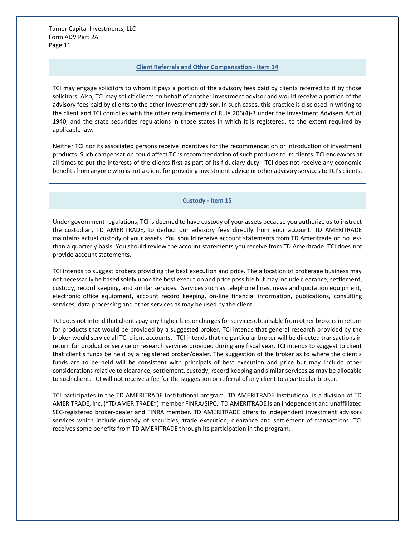#### **Client Referrals and Other Compensation - Item 14**

<span id="page-10-0"></span>TCI may engage solicitors to whom it pays a portion of the advisory fees paid by clients referred to it by those solicitors. Also, TCI may solicit clients on behalf of another investment advisor and would receive a portion of the advisory fees paid by clients to the other investment advisor. In such cases, this practice is disclosed in writing to the client and TCI complies with the other requirements of Rule 206(4)‐3 under the Investment Advisers Act of 1940, and the state securities regulations in those states in which it is registered, to the extent required by applicable law.

Neither TCI nor its associated persons receive incentives for the recommendation or introduction of investment products. Such compensation could affect TCI's recommendation of such products to its clients. TCI endeavors at all times to put the interests of the clients first as part of its fiduciary duty. TCI does not receive any economic benefits from anyone who is not a client for providing investment advice or other advisory services to TCI's clients.

## **Custody - Item 15**

<span id="page-10-1"></span>Under government regulations, TCI is deemed to have custody of your assets because you authorize us to instruct the custodian, TD AMERITRADE, to deduct our advisory fees directly from your account. TD AMERITRADE maintains actual custody of your assets. You should receive account statements from TD Ameritrade on no less than a quarterly basis. You should review the account statements you receive from TD Ameritrade. TCI does not provide account statements.

TCI intends to suggest brokers providing the best execution and price. The allocation of brokerage business may not necessarily be based solely upon the best execution and price possible but may include clearance, settlement, custody, record keeping, and similar services. Services such as telephone lines, news and quotation equipment, electronic office equipment, account record keeping, on-line financial information, publications, consulting services, data processing and other services as may be used by the client.

TCI does not intend that clients pay any higher fees or charges for services obtainable from other brokers in return for products that would be provided by a suggested broker. TCI intends that general research provided by the broker would service all TCI client accounts. TCI intends that no particular broker will be directed transactions in return for product or service or research services provided during any fiscal year. TCI intends to suggest to client that client's funds be held by a registered broker/dealer. The suggestion of the broker as to where the client's funds are to be held will be consistent with principals of best execution and price but may include other considerations relative to clearance, settlement, custody, record keeping and similar services as may be allocable to such client. TCI will not receive a fee for the suggestion or referral of any client to a particular broker.

TCI participates in the TD AMERITRADE Institutional program. TD AMERITRADE Institutional is a division of TD AMERITRADE, Inc. ("TD AMERITRADE") member FINRA/SIPC. TD AMERITRADE is an independent and unaffiliated SEC-registered broker-dealer and FINRA member. TD AMERITRADE offers to independent investment advisors services which include custody of securities, trade execution, clearance and settlement of transactions. TCI receives some benefits from TD AMERITRADE through its participation in the program.